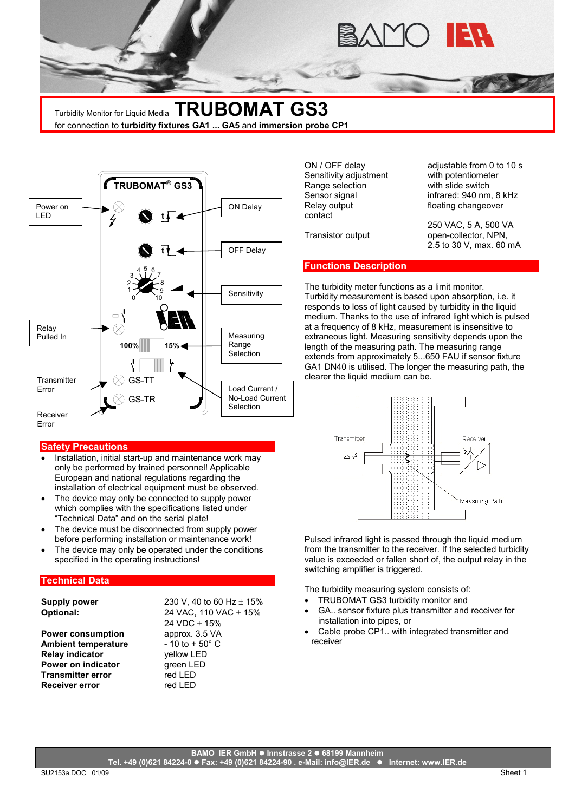

Turbidity Monitor for Liquid Media **TRUBOMAT GS3** for connection to **turbidity fixtures GA1 ... GA5** and **immersion probe CP1**



#### **Safety Precautions**

- Installation, initial start-up and maintenance work may only be performed by trained personnel! Applicable European and national regulations regarding the installation of electrical equipment must be observed.
- The device may only be connected to supply power which complies with the specifications listed under "Technical Data" and on the serial plate!
- The device must be disconnected from supply power before performing installation or maintenance work!
- The device may only be operated under the conditions specified in the operating instructions!

## **Technical Data**

**Power consumption** approx. 3.5 VA **Ambient temperature** - 10 to + 50° C **Relay indicator** yellow LED **Power on indicator green LED Transmitter error** red LED **Receiver error** red LED

**Supply power** 230 V, 40 to 60 Hz  $\pm$  15% **Optional:** 24 VAC, 110 VAC ± 15%  $24$  VDC + 15%

Sensitivity adjustment with potentiometer Range selection with slide switch Relay output **Fig. 2018 floating changeover** contact

ON / OFF delay adjustable from 0 to 10 s Sensor signal infrared: 940 nm, 8 kHz

250 VAC, 5 A, 500 VA Transistor output open-collector, NPN,

## **Functions Description**

The turbidity meter functions as a limit monitor.<br>Sensitivity Turbidity measurement is based upon absorption, i.e. it responds to loss of light caused by turbidity in the liquid medium. Thanks to the use of infrared light which is pulsed at a frequency of 8 kHz, measurement is insensitive to extraneous light. Measuring sensitivity depends upon the length of the measuring path. The measuring range extends from approximately 5...650 FAU if sensor fixture GA1 DN40 is utilised. The longer the measuring path, the clearer the liquid medium can be.



Pulsed infrared light is passed through the liquid medium from the transmitter to the receiver. If the selected turbidity value is exceeded or fallen short of, the output relay in the switching amplifier is triggered.

The turbidity measuring system consists of:

- TRUBOMAT GS3 turbidity monitor and
- GA.. sensor fixture plus transmitter and receiver for installation into pipes, or
- Cable probe CP1.. with integrated transmitter and receiver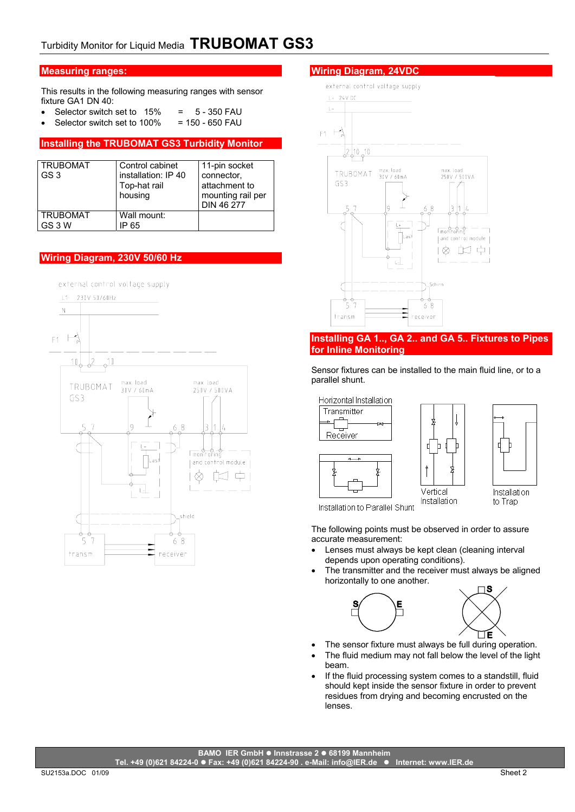# **Measuring ranges:**

This results in the following measuring ranges with sensor fixture GA1 DN 40:

- Selector switch set to  $15\%$  =  $5 350$  FAU
- Selector switch set to  $100\%$  = 150 650 FAU

# **Installing the TRUBOMAT GS3 Turbidity Monitor**

| TRUBOMAT<br>' GS 3        | Control cabinet<br>installation: IP 40<br>Top-hat rail<br>housing | 11-pin socket<br>connector,<br>attachment to<br>mounting rail per<br>DIN 46 277 |
|---------------------------|-------------------------------------------------------------------|---------------------------------------------------------------------------------|
| <b>TRUBOMAT</b><br>GS 3 W | Wall mount:<br>P 65                                               |                                                                                 |

# **Wiring Diagram, 230V 50/60 Hz**



### **Wiring Diagram, 24VDC**



### **Installing GA 1.., GA 2.. and GA 5.. Fixtures to Pipes for Inline Monitoring**

Sensor fixtures can be installed to the main fluid line, or to a parallel shunt.



Installation to Parallel Shunt

The following points must be observed in order to assure accurate measurement:

- Lenses must always be kept clean (cleaning interval depends upon operating conditions).
- The transmitter and the receiver must always be aligned horizontally to one another.



- The sensor fixture must always be full during operation.
- The fluid medium may not fall below the level of the light beam.
- If the fluid processing system comes to a standstill, fluid should kept inside the sensor fixture in order to prevent residues from drying and becoming encrusted on the lenses.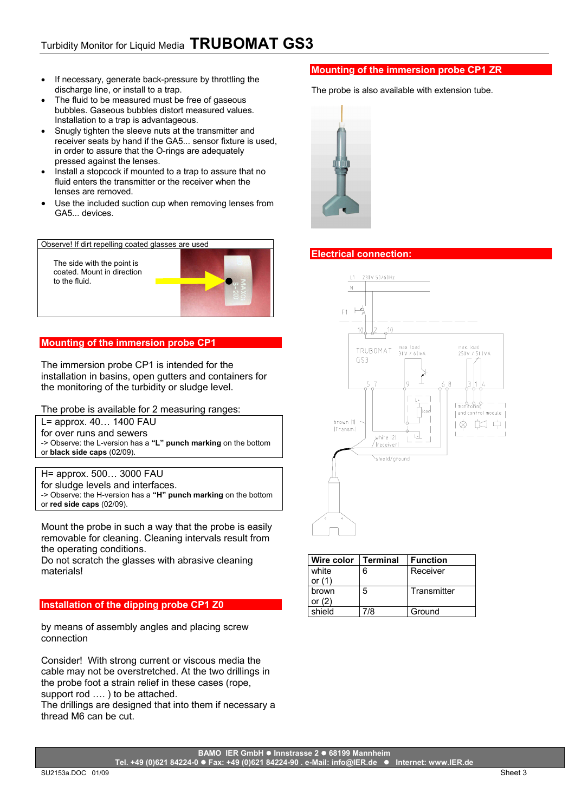- If necessary, generate back-pressure by throttling the discharge line, or install to a trap.
- The fluid to be measured must be free of gaseous bubbles. Gaseous bubbles distort measured values. Installation to a trap is advantageous.
- Snugly tighten the sleeve nuts at the transmitter and receiver seats by hand if the GA5... sensor fixture is used, in order to assure that the O-rings are adequately pressed against the lenses.
- Install a stopcock if mounted to a trap to assure that no fluid enters the transmitter or the receiver when the lenses are removed.
- Use the included suction cup when removing lenses from GA5... devices.

Observe! If dirt repelling coated glasses are used

The side with the point is coated. Mount in direction to the fluid.



# **Mounting of the immersion probe CP1**

The immersion probe CP1 is intended for the installation in basins, open gutters and containers for the monitoring of the turbidity or sludge level.

The probe is available for 2 measuring ranges:

L= approx. 40… 1400 FAU

for over runs and sewers

-> Observe: the L-version has a **"L" punch marking** on the bottom or **black side caps** (02/09).

H= approx. 500… 3000 FAU

for sludge levels and interfaces.

-> Observe: the H-version has a **"H" punch marking** on the bottom or **red side caps** (02/09).

Mount the probe in such a way that the probe is easily removable for cleaning. Cleaning intervals result from the operating conditions.

Do not scratch the glasses with abrasive cleaning materials!

# **Installation of the dipping probe CP1 Z0**

by means of assembly angles and placing screw connection

Consider! With strong current or viscous media the cable may not be overstretched. At the two drillings in the probe foot a strain relief in these cases (rope, support rod .... ) to be attached.

The drillings are designed that into them if necessary a thread M6 can be cut.

# **Mounting of the immersion probe CP1 ZR**

The probe is also available with extension tube.



## **Electrical connection:**



| Wire color | <b>Terminal</b> | <b>Function</b> |
|------------|-----------------|-----------------|
| white      | 6               | Receiver        |
| or $(1)$   |                 |                 |
| brown      | 5               | Transmitter     |
| or $(2)$   |                 |                 |
| shield     | 7/8             | Ground          |